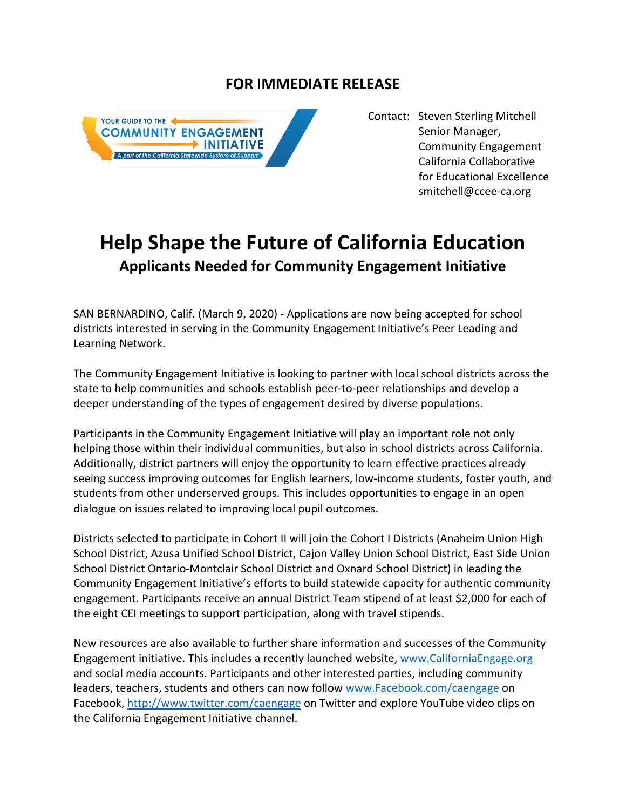## **FOR IMMEDIATE RELEASE**



Contact: Steven Sterling Mitchell Senior Manager, Community Engagement California Collaborative for Educational Excellence smitchell@ccee-ca.org

## **Help Shape the Future of California Education Applicants Needed for Community Engagement Initiative**

SAN BERNARDINO, Calif. (March 9, 2020) - Applications are now being accepted for school districts interested in serving in the Community Engagement Initiative's Peer Leading and Learning Network.

The Community Engagement Initiative is looking to partner with local school districts across the state to help communities and schools establish peer-to-peer relationships and develop a deeper understanding of the types of engagement desired by diverse populations.

Participants in the Community Engagement Initiative will play an important role not only helping those within their individual communities, but also in school districts across California. Additionally, district partners will enjoy the opportunity to learn effective practices already seeing success improving outcomes for English learners, low-income students, foster youth, and students from other underserved groups. This includes opportunities to engage in an open dialogue on issues related to improving local pupil outcomes.

Districts selected to participate in Cohort II will join the Cohort I Districts (Anaheim Union High School District, Azusa Unified School District, Cajon Valley Union School District, East Side Union School District Ontario-Montclair School District and Oxnard School District) in leading the Community Engagement Initiative's efforts to build statewide capacity for authentic community engagement. Participants receive an annual District Team stipend of at least \$2,000 for each of the eight CEI meetings to support participation, along with travel stipends.

New resources are also available to further share information and successes of the Community Engagement initiative. This includes a recently launched website, www.CaliforniaEngage.org and social media accounts. Participants and other interested parties, including community leaders, teachers, students and others can now follow www.Facebook.com/caengage on Facebook, http://www.twitter.com/caengage on Twitter and explore YouTube video clips on the California Engagement Initiative channel.